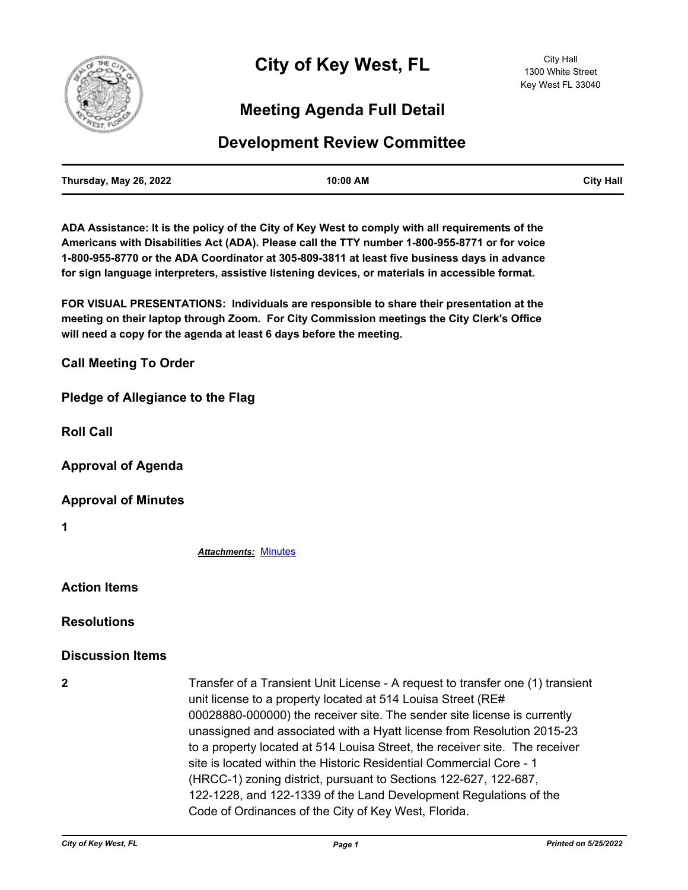

## **Meeting Agenda Full Detail**

## **Development Review Committee**

| Thursday, May 26, 2022 | 10:00 AM | <b>City Hall</b> |
|------------------------|----------|------------------|
|                        |          |                  |

**ADA Assistance: It is the policy of the City of Key West to comply with all requirements of the Americans with Disabilities Act (ADA). Please call the TTY number 1-800-955-8771 or for voice 1-800-955-8770 or the ADA Coordinator at 305-809-3811 at least five business days in advance for sign language interpreters, assistive listening devices, or materials in accessible format.**

**FOR VISUAL PRESENTATIONS: Individuals are responsible to share their presentation at the meeting on their laptop through Zoom. For City Commission meetings the City Clerk's Office will need a copy for the agenda at least 6 days before the meeting.**

**Call Meeting To Order**

**Pledge of Allegiance to the Flag**

**Roll Call**

**Approval of Agenda**

**Approval of Minutes**

**1**

*Attachments:* [Minutes](http://KeyWest.legistar.com/gateway.aspx?M=F&ID=290bbcdb-6dc7-427b-bee7-bf733f89de0c.pdf)

**Action Items**

**Resolutions**

## **Discussion Items**

**2** Transfer of a Transient Unit License - A request to transfer one (1) transient unit license to a property located at 514 Louisa Street (RE# 00028880-000000) the receiver site. The sender site license is currently unassigned and associated with a Hyatt license from Resolution 2015-23 to a property located at 514 Louisa Street, the receiver site. The receiver site is located within the Historic Residential Commercial Core - 1 (HRCC-1) zoning district, pursuant to Sections 122-627, 122-687, 122-1228, and 122-1339 of the Land Development Regulations of the Code of Ordinances of the City of Key West, Florida.